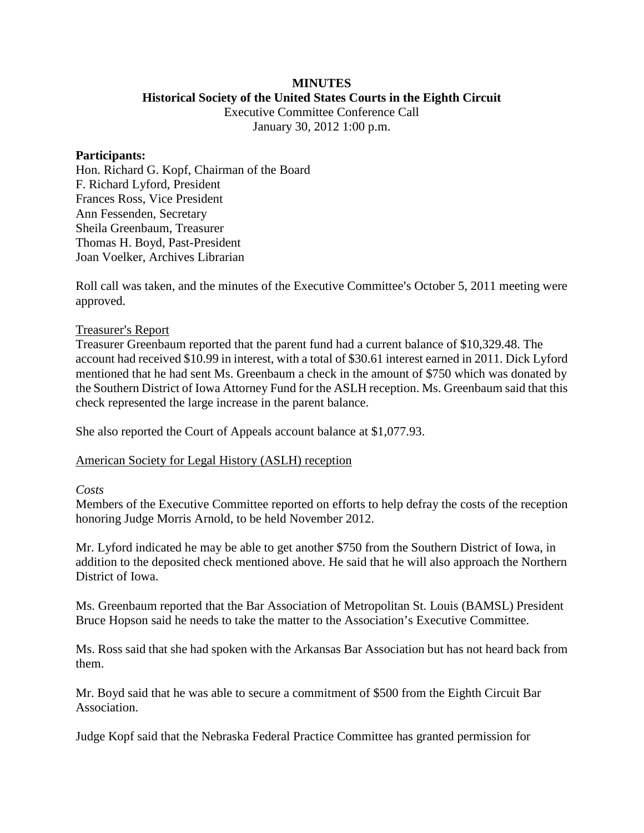#### **MINUTES Historical Society of the United States Courts in the Eighth Circuit**

Executive Committee Conference Call January 30, 2012 1:00 p.m.

#### **Participants:**

Hon. Richard G. Kopf, Chairman of the Board F. Richard Lyford, President Frances Ross, Vice President Ann Fessenden, Secretary Sheila Greenbaum, Treasurer Thomas H. Boyd, Past-President Joan Voelker, Archives Librarian

Roll call was taken, and the minutes of the Executive Committee's October 5, 2011 meeting were approved.

## Treasurer's Report

Treasurer Greenbaum reported that the parent fund had a current balance of \$10,329.48. The account had received \$10.99 in interest, with a total of \$30.61 interest earned in 2011. Dick Lyford mentioned that he had sent Ms. Greenbaum a check in the amount of \$750 which was donated by the Southern District of Iowa Attorney Fund for the ASLH reception. Ms. Greenbaum said that this check represented the large increase in the parent balance.

She also reported the Court of Appeals account balance at \$1,077.93.

## American Society for Legal History (ASLH) reception

## *Costs*

Members of the Executive Committee reported on efforts to help defray the costs of the reception honoring Judge Morris Arnold, to be held November 2012.

Mr. Lyford indicated he may be able to get another \$750 from the Southern District of Iowa, in addition to the deposited check mentioned above. He said that he will also approach the Northern District of Iowa.

Ms. Greenbaum reported that the Bar Association of Metropolitan St. Louis (BAMSL) President Bruce Hopson said he needs to take the matter to the Association's Executive Committee.

Ms. Ross said that she had spoken with the Arkansas Bar Association but has not heard back from them.

Mr. Boyd said that he was able to secure a commitment of \$500 from the Eighth Circuit Bar Association.

Judge Kopf said that the Nebraska Federal Practice Committee has granted permission for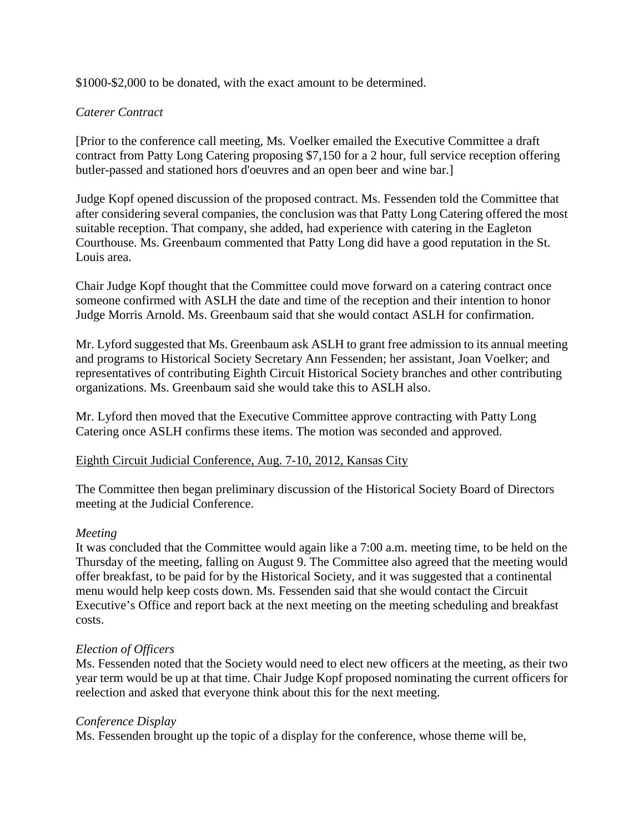\$1000-\$2,000 to be donated, with the exact amount to be determined.

# *Caterer Contract*

[Prior to the conference call meeting, Ms. Voelker emailed the Executive Committee a draft contract from Patty Long Catering proposing \$7,150 for a 2 hour, full service reception offering butler-passed and stationed hors d'oeuvres and an open beer and wine bar.]

Judge Kopf opened discussion of the proposed contract. Ms. Fessenden told the Committee that after considering several companies, the conclusion was that Patty Long Catering offered the most suitable reception. That company, she added, had experience with catering in the Eagleton Courthouse. Ms. Greenbaum commented that Patty Long did have a good reputation in the St. Louis area.

Chair Judge Kopf thought that the Committee could move forward on a catering contract once someone confirmed with ASLH the date and time of the reception and their intention to honor Judge Morris Arnold. Ms. Greenbaum said that she would contact ASLH for confirmation.

Mr. Lyford suggested that Ms. Greenbaum ask ASLH to grant free admission to its annual meeting and programs to Historical Society Secretary Ann Fessenden; her assistant, Joan Voelker; and representatives of contributing Eighth Circuit Historical Society branches and other contributing organizations. Ms. Greenbaum said she would take this to ASLH also.

Mr. Lyford then moved that the Executive Committee approve contracting with Patty Long Catering once ASLH confirms these items. The motion was seconded and approved.

## Eighth Circuit Judicial Conference, Aug. 7-10, 2012, Kansas City

The Committee then began preliminary discussion of the Historical Society Board of Directors meeting at the Judicial Conference.

## *Meeting*

It was concluded that the Committee would again like a 7:00 a.m. meeting time, to be held on the Thursday of the meeting, falling on August 9. The Committee also agreed that the meeting would offer breakfast, to be paid for by the Historical Society, and it was suggested that a continental menu would help keep costs down. Ms. Fessenden said that she would contact the Circuit Executive's Office and report back at the next meeting on the meeting scheduling and breakfast costs.

## *Election of Officers*

Ms. Fessenden noted that the Society would need to elect new officers at the meeting, as their two year term would be up at that time. Chair Judge Kopf proposed nominating the current officers for reelection and asked that everyone think about this for the next meeting.

## *Conference Display*

Ms. Fessenden brought up the topic of a display for the conference, whose theme will be,